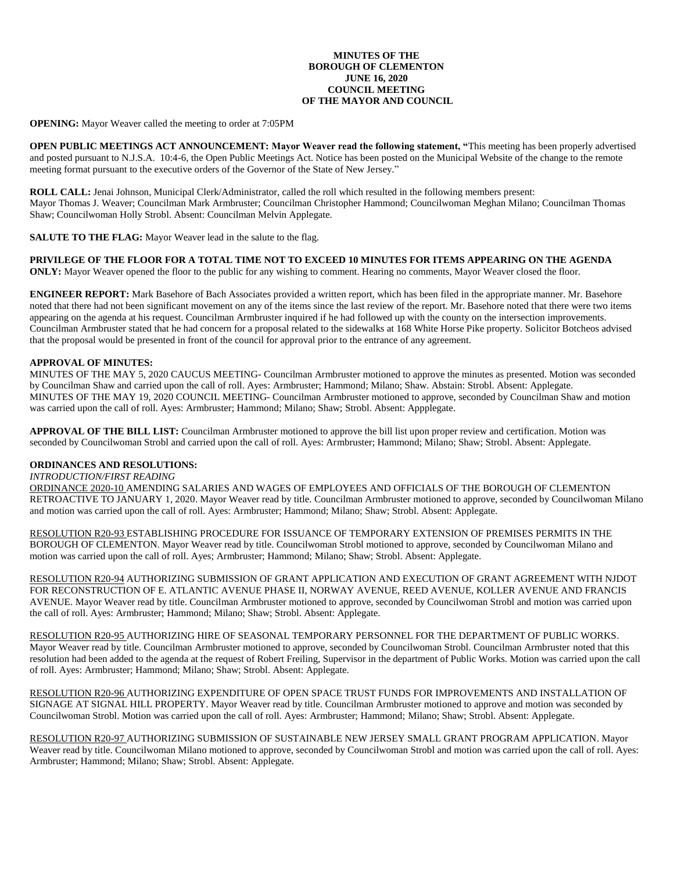## **MINUTES OF THE BOROUGH OF CLEMENTON JUNE 16, 2020 COUNCIL MEETING OF THE MAYOR AND COUNCIL**

**OPENING:** Mayor Weaver called the meeting to order at 7:05PM

**OPEN PUBLIC MEETINGS ACT ANNOUNCEMENT: Mayor Weaver read the following statement, "**This meeting has been properly advertised and posted pursuant to N.J.S.A. 10:4-6, the Open Public Meetings Act. Notice has been posted on the Municipal Website of the change to the remote meeting format pursuant to the executive orders of the Governor of the State of New Jersey."

**ROLL CALL:** Jenai Johnson, Municipal Clerk/Administrator, called the roll which resulted in the following members present: Mayor Thomas J. Weaver; Councilman Mark Armbruster; Councilman Christopher Hammond; Councilwoman Meghan Milano; Councilman Thomas Shaw; Councilwoman Holly Strobl. Absent: Councilman Melvin Applegate.

**SALUTE TO THE FLAG:** Mayor Weaver lead in the salute to the flag.

**PRIVILEGE OF THE FLOOR FOR A TOTAL TIME NOT TO EXCEED 10 MINUTES FOR ITEMS APPEARING ON THE AGENDA ONLY:** Mayor Weaver opened the floor to the public for any wishing to comment. Hearing no comments, Mayor Weaver closed the floor.

**ENGINEER REPORT:** Mark Basehore of Bach Associates provided a written report, which has been filed in the appropriate manner. Mr. Basehore noted that there had not been significant movement on any of the items since the last review of the report. Mr. Basehore noted that there were two items appearing on the agenda at his request. Councilman Armbruster inquired if he had followed up with the county on the intersection improvements. Councilman Armbruster stated that he had concern for a proposal related to the sidewalks at 168 White Horse Pike property. Solicitor Botcheos advised that the proposal would be presented in front of the council for approval prior to the entrance of any agreement.

## **APPROVAL OF MINUTES:**

MINUTES OF THE MAY 5, 2020 CAUCUS MEETING- Councilman Armbruster motioned to approve the minutes as presented. Motion was seconded by Councilman Shaw and carried upon the call of roll. Ayes: Armbruster; Hammond; Milano; Shaw. Abstain: Strobl. Absent: Applegate. MINUTES OF THE MAY 19, 2020 COUNCIL MEETING- Councilman Armbruster motioned to approve, seconded by Councilman Shaw and motion was carried upon the call of roll. Ayes: Armbruster; Hammond; Milano; Shaw; Strobl. Absent: Appplegate.

**APPROVAL OF THE BILL LIST:** Councilman Armbruster motioned to approve the bill list upon proper review and certification. Motion was seconded by Councilwoman Strobl and carried upon the call of roll. Ayes: Armbruster; Hammond; Milano; Shaw; Strobl. Absent: Applegate.

## **ORDINANCES AND RESOLUTIONS:**

#### *INTRODUCTION/FIRST READING*

ORDINANCE 2020-10 AMENDING SALARIES AND WAGES OF EMPLOYEES AND OFFICIALS OF THE BOROUGH OF CLEMENTON RETROACTIVE TO JANUARY 1, 2020. Mayor Weaver read by title. Councilman Armbruster motioned to approve, seconded by Councilwoman Milano and motion was carried upon the call of roll. Ayes: Armbruster; Hammond; Milano; Shaw; Strobl. Absent: Applegate.

RESOLUTION R20-93 ESTABLISHING PROCEDURE FOR ISSUANCE OF TEMPORARY EXTENSION OF PREMISES PERMITS IN THE BOROUGH OF CLEMENTON. Mayor Weaver read by title. Councilwoman Strobl motioned to approve, seconded by Councilwoman Milano and motion was carried upon the call of roll. Ayes; Armbruster; Hammond; Milano; Shaw; Strobl. Absent: Applegate.

RESOLUTION R20-94 AUTHORIZING SUBMISSION OF GRANT APPLICATION AND EXECUTION OF GRANT AGREEMENT WITH NJDOT FOR RECONSTRUCTION OF E. ATLANTIC AVENUE PHASE II, NORWAY AVENUE, REED AVENUE, KOLLER AVENUE AND FRANCIS AVENUE. Mayor Weaver read by title. Councilman Armbruster motioned to approve, seconded by Councilwoman Strobl and motion was carried upon the call of roll. Ayes: Armbruster; Hammond; Milano; Shaw; Strobl. Absent: Applegate.

RESOLUTION R20-95 AUTHORIZING HIRE OF SEASONAL TEMPORARY PERSONNEL FOR THE DEPARTMENT OF PUBLIC WORKS. Mayor Weaver read by title. Councilman Armbruster motioned to approve, seconded by Councilwoman Strobl. Councilman Armbruster noted that this resolution had been added to the agenda at the request of Robert Freiling, Supervisor in the department of Public Works. Motion was carried upon the call of roll. Ayes: Armbruster; Hammond; Milano; Shaw; Strobl. Absent: Applegate.

RESOLUTION R20-96 AUTHORIZING EXPENDITURE OF OPEN SPACE TRUST FUNDS FOR IMPROVEMENTS AND INSTALLATION OF SIGNAGE AT SIGNAL HILL PROPERTY. Mayor Weaver read by title. Councilman Armbruster motioned to approve and motion was seconded by Councilwoman Strobl. Motion was carried upon the call of roll. Ayes: Armbruster; Hammond; Milano; Shaw; Strobl. Absent: Applegate.

RESOLUTION R20-97 AUTHORIZING SUBMISSION OF SUSTAINABLE NEW JERSEY SMALL GRANT PROGRAM APPLICATION. Mayor Weaver read by title. Councilwoman Milano motioned to approve, seconded by Councilwoman Strobl and motion was carried upon the call of roll. Ayes: Armbruster; Hammond; Milano; Shaw; Strobl. Absent: Applegate.